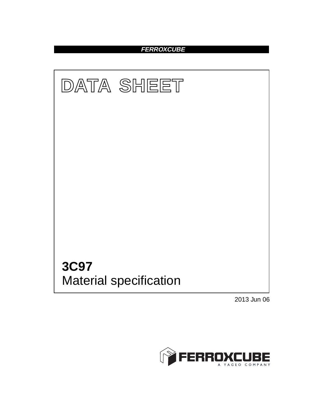## **FERROXCUBE**



2013 Jun 06

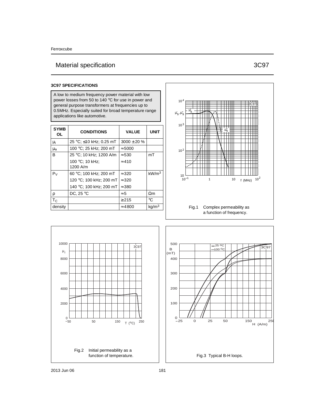# Material specification 3C97

### **3C97 SPECIFICATIONS**

A low to medium frequency power material with low power losses from 50 to 140 °C for use in power and general purpose transformers at frequencies up to 0.5MHz. Especially suited for broad temperature range applications like automotive.

| <b>SYMB</b><br>0L | <b>CONDITIONS</b>       | <b>VALUE</b>     | UNIT              |
|-------------------|-------------------------|------------------|-------------------|
| μi                | 25 °C; ≤10 kHz; 0.25 mT | $3000 \pm 20 \%$ |                   |
| $\mu_{a}$         | 100 °C; 25 kHz; 200 mT  | $\approx 5000$   |                   |
| B                 | 25 °C; 10 kHz; 1200 A/m | $\approx 530$    | mT                |
|                   | 100 °C; 10 kHz;         | $\approx 410$    |                   |
|                   | 1200 A/m                |                  |                   |
| P <sub>V</sub>    | 60 °C; 100 kHz; 200 mT  | $\approx 320$    | kW/m <sup>3</sup> |
|                   | 120 °C; 100 kHz; 200 mT | $\approx 320$    |                   |
|                   | 140 °C; 100 kHz; 200 mT | $\approx$ 380    |                   |
| ρ                 | DC, $25^{\circ}$ C      | $\approx 5$      | $\Omega$ m        |
| $T_{C}$           |                         | > 215            | °€                |
| density           |                         | $\approx 4800$   | kg/m <sup>3</sup> |



a function of frequency.



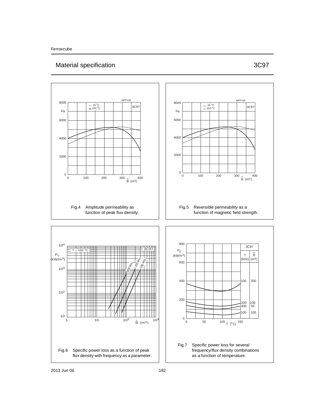# Material specification 3C97